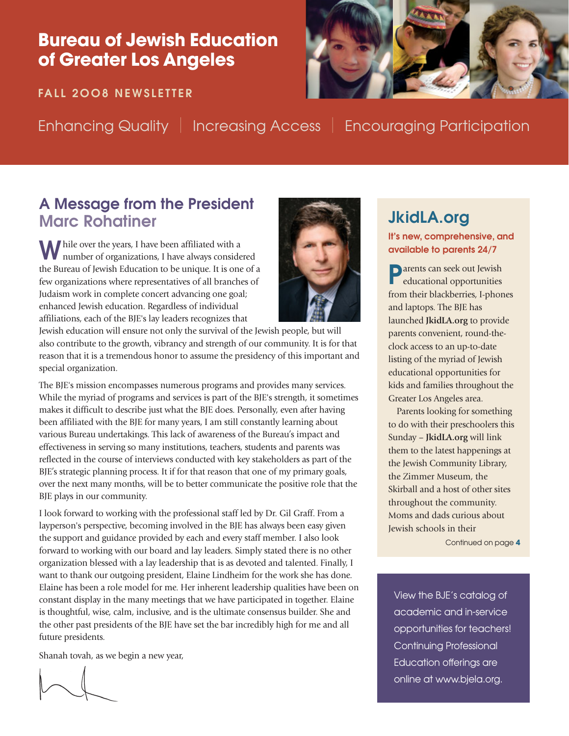## Bureau of Jewish Education **Bureau of Jewish Education**  of Greater Los Angeles **of Greater Los Angeles**

**FALL 2OO8 NEWSLETTER FALL 2OO8 NEWSLETTER**



Enhancing Quality | Increasing Access | Encouraging Participation Enhancing Quality | Increasing Access | Encouraging Participation

## **A Message from the President Marc Rohatiner**

While over the years, I have been affiliated with a number of organizations, I have always considered the Bureau of Jewish Education to be unique. It is one of a few organizations where representatives of all branches of Judaism work in complete concert advancing one goal; enhanced Jewish education. Regardless of individual affiliations, each of the BJE's lay leaders recognizes that



Jewish education will ensure not only the survival of the Jewish people, but will also contribute to the growth, vibrancy and strength of our community. It is for that reason that it is a tremendous honor to assume the presidency of this important and special organization.

The BJE's mission encompasses numerous programs and provides many services. While the myriad of programs and services is part of the BJE's strength, it sometimes makes it difficult to describe just what the BJE does. Personally, even after having been affiliated with the BJE for many years, I am still constantly learning about various Bureau undertakings. This lack of awareness of the Bureau's impact and effectiveness in serving so many institutions, teachers, students and parents was reflected in the course of interviews conducted with key stakeholders as part of the BJE's strategic planning process. It if for that reason that one of my primary goals, over the next many months, will be to better communicate the positive role that the BJE plays in our community.

I look forward to working with the professional staff led by Dr. Gil Graff. From a layperson's perspective, becoming involved in the BJE has always been easy given the support and guidance provided by each and every staff member. I also look forward to working with our board and lay leaders. Simply stated there is no other organization blessed with a lay leadership that is as devoted and talented. Finally, I want to thank our outgoing president, Elaine Lindheim for the work she has done. Elaine has been a role model for me. Her inherent leadership qualities have been on constant display in the many meetings that we have participated in together. Elaine is thoughtful, wise, calm, inclusive, and is the ultimate consensus builder. She and the other past presidents of the BJE have set the bar incredibly high for me and all future presidents.

Shanah tovah, as we begin a new year,

# **JkidLA.org**

**It's new, comprehensive, and available to parents 24/7**

**P**arents can seek out Jewish educational opportunities from their blackberries, I-phones and laptops. The BJE has launched **JkidLA.org** to provide parents convenient, round-theclock access to an up-to-date listing of the myriad of Jewish educational opportunities for kids and families throughout the Greater Los Angeles area.

Parents looking for something to do with their preschoolers this Sunday – **JkidLA.org** will link them to the latest happenings at the Jewish Community Library, the Zimmer Museum, the Skirball and a host of other sites throughout the community. Moms and dads curious about Jewish schools in their

Continued on page **4**

View the BJE's catalog of academic and in-service opportunities for teachers! Continuing Professional Education offerings are online at www.bjela.org.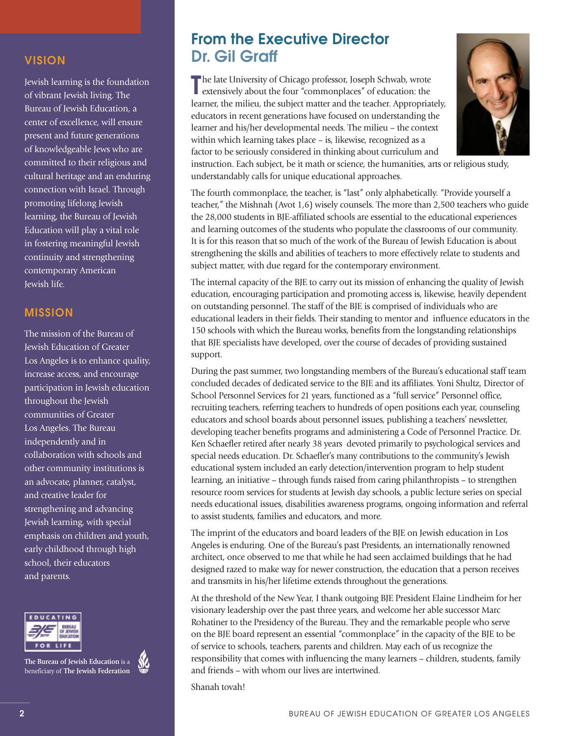### **VISION**

Jewish learning is the foundation of vibrant Jewish living. The Bureau of Jewish Education, a center of excellence, will ensure present and future generations of knowledgeable Jews who are committed to their religious and cultural heritage and an enduring connection with Israel. Through promoting lifelong Jewish learning, the Bureau of Jewish Education will play a vital role in fostering meaningful Jewish continuity and strengthening contemporary American Jewish life.

### **MISSION**

The mission of the Bureau of Jewish Education of Greater Los Angeles is to enhance quality, increase access, and encourage participation in Jewish education throughout the Jewish communities of Greater Los Angeles. The Bureau independently and in collaboration with schools and other community institutions is an advocate, planner, catalyst, and creative leader for strengthening and advancing Jewish learning, with special emphasis on children and youth, early childhood through high school, their educators and parents.



**The Bureau of Jewish Education** is a beneficiary of **The Jewish Federation**



## **From the Executive Director Dr. Gil Graff**

The late University of Chicago professor, Joseph Schwab, wrote extensively about the four "commonplaces" of education: the The late University of Chicago professor, Joseph Schwab, wrote learner, the milieu, the subject matter and the teacher. Appropriately, educators in recent generations have focused on understanding the learner and his/her developmental needs. The milieu – the context within which learning takes place – is, likewise, recognized as a factor to be seriously considered in thinking about curriculum and



instruction. Each subject, be it math or science, the humanities, arts or religious study, understandably calls for unique educational approaches.

The fourth commonplace, the teacher, is "last" only alphabetically. "Provide yourself a teacher," the Mishnah (Avot 1,6) wisely counsels. The more than 2,500 teachers who guide the 28,000 students in BJE-affiliated schools are essential to the educational experiences and learning outcomes of the students who populate the classrooms of our community. It is for this reason that so much of the work of the Bureau of Jewish Education is about strengthening the skills and abilities of teachers to more effectively relate to students and subject matter, with due regard for the contemporary environment.

The internal capacity of the BJE to carry out its mission of enhancing the quality of Jewish education, encouraging participation and promoting access is, likewise, heavily dependent on outstanding personnel. The staff of the BJE is comprised of individuals who are educational leaders in their fields. Their standing to mentor and influence educators in the 150 schools with which the Bureau works, benefits from the longstanding relationships that BJE specialists have developed, over the course of decades of providing sustained support.

During the past summer, two longstanding members of the Bureau's educational staff team concluded decades of dedicated service to the BJE and its affiliates. Yoni Shultz, Director of School Personnel Services for 21 years, functioned as a "full service" Personnel office, recruiting teachers, referring teachers to hundreds of open positions each year, counseling educators and school boards about personnel issues, publishing a teachers' newsletter, developing teacher benefits programs and administering a Code of Personnel Practice. Dr. Ken Schaefler retired after nearly 38 years devoted primarily to psychological services and special needs education. Dr. Schaefler's many contributions to the community's Jewish educational system included an early detection/intervention program to help student learning, an initiative – through funds raised from caring philanthropists – to strengthen resource room services for students at Jewish day schools, a public lecture series on special needs educational issues, disabilities awareness programs, ongoing information and referral to assist students, families and educators, and more.

The imprint of the educators and board leaders of the BJE on Jewish education in Los Angeles is enduring. One of the Bureau's past Presidents, an internationally renowned architect, once observed to me that while he had seen acclaimed buildings that he had designed razed to make way for newer construction, the education that a person receives and transmits in his/her lifetime extends throughout the generations.

At the threshold of the New Year, I thank outgoing BJE President Elaine Lindheim for her visionary leadership over the past three years, and welcome her able successor Marc Rohatiner to the Presidency of the Bureau. They and the remarkable people who serve on the BJE board represent an essential "commonplace" in the capacity of the BJE to be of service to schools, teachers, parents and children. May each of us recognize the responsibility that comes with influencing the many learners – children, students, family and friends – with whom our lives are intertwined.

Shanah tovah!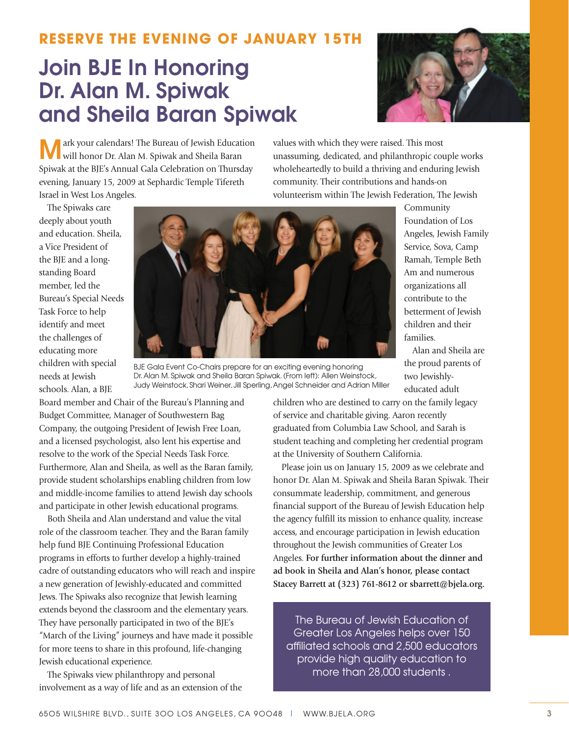### **RESERVE THE EVENING OF JANUARY 15TH**

# **Join BJE In Honoring Dr. Alan M. Spiwak and Sheila Baran Spiwak**



ark your calendars! The Bureau of Jewish Education will honor Dr. Alan M. Spiwak and Sheila Baran Spiwak at the BJE's Annual Gala Celebration on Thursday evening, January 15, 2009 at Sephardic Temple Tifereth Israel in West Los Angeles.

values with which they were raised. This most unassuming, dedicated, and philanthropic couple works wholeheartedly to build a thriving and enduring Jewish community. Their contributions and hands-on volunteerism within The Jewish Federation, The Jewish

The Spiwaks care deeply about youth and education. Sheila, a Vice President of the BJE and a longstanding Board member, led the Bureau's Special Needs Task Force to help identify and meet the challenges of educating more children with special needs at Jewish schools. Alan, a BJE



BJE Gala Event Co-Chairs prepare for an exciting evening honoring Dr. Alan M. Spiwak and Sheila Baran Spiwak. (From left): Allen Weinstock, Judy Weinstock, Shari Weiner, Jill Sperling, Angel Schneider and Adrian Miller

Community Foundation of Los Angeles, Jewish Family Service, Sova, Camp Ramah, Temple Beth Am and numerous organizations all contribute to the betterment of Jewish children and their families.

Alan and Sheila are the proud parents of two Jewishlyeducated adult

Board member and Chair of the Bureau's Planning and Budget Committee, Manager of Southwestern Bag Company, the outgoing President of Jewish Free Loan, and a licensed psychologist, also lent his expertise and resolve to the work of the Special Needs Task Force. Furthermore, Alan and Sheila, as well as the Baran family, provide student scholarships enabling children from low and middle-income families to attend Jewish day schools and participate in other Jewish educational programs.

Both Sheila and Alan understand and value the vital role of the classroom teacher. They and the Baran family help fund BJE Continuing Professional Education programs in efforts to further develop a highly-trained cadre of outstanding educators who will reach and inspire a new generation of Jewishly-educated and committed Jews. The Spiwaks also recognize that Jewish learning extends beyond the classroom and the elementary years. They have personally participated in two of the BJE's "March of the Living" journeys and have made it possible for more teens to share in this profound, life-changing Jewish educational experience.

The Spiwaks view philanthropy and personal involvement as a way of life and as an extension of the children who are destined to carry on the family legacy of service and charitable giving. Aaron recently graduated from Columbia Law School, and Sarah is student teaching and completing her credential program at the University of Southern California.

Please join us on January 15, 2009 as we celebrate and honor Dr. Alan M. Spiwak and Sheila Baran Spiwak. Their consummate leadership, commitment, and generous financial support of the Bureau of Jewish Education help the agency fulfill its mission to enhance quality, increase access, and encourage participation in Jewish education throughout the Jewish communities of Greater Los Angeles. **For further information about the dinner and ad book in Sheila and Alan's honor, please contact Stacey Barrett at (323) 761-8612 or sbarrett@bjela.org.**

The Bureau of Jewish Education of Greater Los Angeles helps over 150 affiliated schools and 2,500 educators provide high quality education to more than 28,000 students .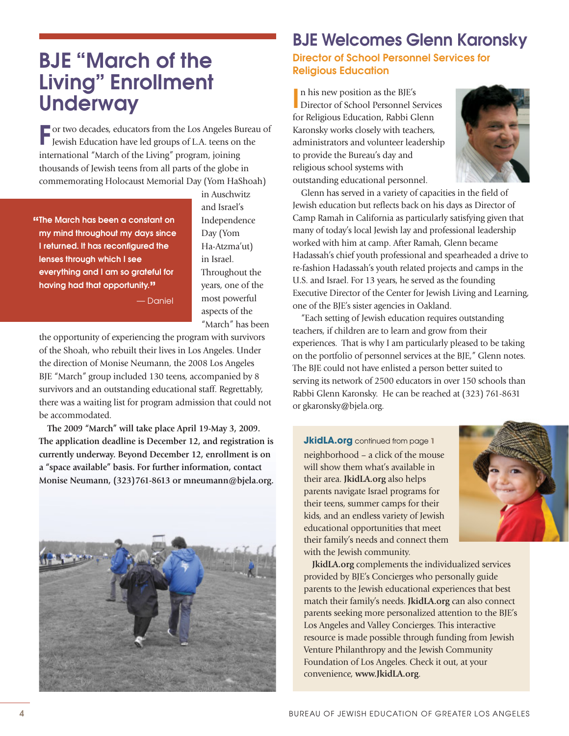## **BJE "March of the Living" Enrollment Underway**

**F** or two decades, educators from the Los Angeles Bureau of Jewish Education have led groups of L.A. teens on the international "March of the Living" program, joining thousands of Jewish teens from all parts of the globe in commemorating Holocaust Memorial Day (Yom HaShoah)

**"The March has been a constant on my mind throughout my days since I returned. It has reconfigured the lenses through which I see everything and I am so grateful for having had that opportunity."**

in Auschwitz and Israel's Independence Day (Yom Ha-Atzma'ut) in Israel. Throughout the years, one of the most powerful aspects of the "March" has been

— Daniel

the opportunity of experiencing the program with survivors of the Shoah, who rebuilt their lives in Los Angeles. Under the direction of Monise Neumann, the 2008 Los Angeles BJE "March" group included 130 teens, accompanied by 8 survivors and an outstanding educational staff. Regrettably, there was a waiting list for program admission that could not be accommodated.

**The 2009 "March" will take place April 19-May 3, 2009. The application deadline is December 12, and registration is currently underway. Beyond December 12, enrollment is on a "space available" basis. For further information, contact Monise Neumann, (323)761-8613 or mneumann@bjela.org.**



## **BJE Welcomes Glenn Karonsky**

**Director of School Personnel Services for Religious Education**

**I I** n his new position as the BJE's
Director of School Personnel Services n his new position as the BJE's for Religious Education, Rabbi Glenn Karonsky works closely with teachers, administrators and volunteer leadership to provide the Bureau's day and religious school systems with outstanding educational personnel.



Glenn has served in a variety of capacities in the field of Jewish education but reflects back on his days as Director of Camp Ramah in California as particularly satisfying given that many of today's local Jewish lay and professional leadership worked with him at camp. After Ramah, Glenn became Hadassah's chief youth professional and spearheaded a drive to re-fashion Hadassah's youth related projects and camps in the U.S. and Israel. For 13 years, he served as the founding Executive Director of the Center for Jewish Living and Learning, one of the BJE's sister agencies in Oakland.

"Each setting of Jewish education requires outstanding teachers, if children are to learn and grow from their experiences. That is why I am particularly pleased to be taking on the portfolio of personnel services at the BJE," Glenn notes. The BJE could not have enlisted a person better suited to serving its network of 2500 educators in over 150 schools than Rabbi Glenn Karonsky. He can be reached at (323) 761-8631 or gkaronsky@bjela.org.

**JkidLA.org** continued from page **1** neighborhood – a click of the mouse will show them what's available in their area. **JkidLA.org** also helps parents navigate Israel programs for their teens, summer camps for their kids, and an endless variety of Jewish educational opportunities that meet their family's needs and connect them with the Jewish community.



**JkidLA.org** complements the individualized services provided by BJE's Concierges who personally guide parents to the Jewish educational experiences that best match their family's needs. **JkidLA.org** can also connect parents seeking more personalized attention to the BJE's Los Angeles and Valley Concierges. This interactive resource is made possible through funding from Jewish Venture Philanthropy and the Jewish Community Foundation of Los Angeles. Check it out, at your convenience, **www.JkidLA.org**.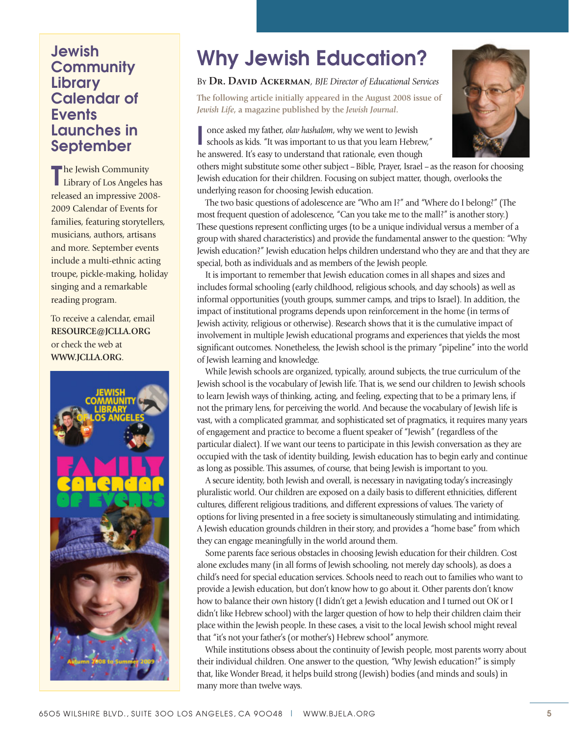### **Jewish Community Library Calendar of Events Launches in September**

**T** he Jewish Community<br>Library of Los Angeles has **The Jewish Community** released an impressive 2008- 2009 Calendar of Events for families, featuring storytellers, musicians, authors, artisans and more. September events include a multi-ethnic acting troupe, pickle-making, holiday singing and a remarkable reading program.

To receive a calendar, email **RESOURCE@JCLLA.ORG** or check the web at **WWW.JCLLA.ORG**.



# **Why Jewish Education?**

### By **Dr. David Ackerman***, BJE Director of Educational Services*

**The following article initially appeared in the August 2008 issue of** *Jewish Life***, a magazine published by the** *Jewish Journal***.**

**I** once asked my father, *olav hashalom*, why we went to Jewish schools as kids. "It was important to us that you learn Hebrew," he answered. It's easy to understand that rationale, even though



others might substitute some other subject –Bible, Prayer, Israel –as the reason for choosing Jewish education for their children. Focusing on subject matter, though, overlooks the underlying reason for choosing Jewish education.

The two basic questions of adolescence are "Who am I?" and "Where do I belong?" (The most frequent question of adolescence, "Can you take me to the mall?" is another story.) These questions represent conflicting urges (to be a unique individual versus a member of a group with shared characteristics) and provide the fundamental answer to the question: "Why Jewish education?" Jewish education helps children understand who they are and that they are special, both as individuals and as members of the Jewish people.

It is important to remember that Jewish education comes in all shapes and sizes and includes formal schooling (early childhood, religious schools, and day schools) as well as informal opportunities (youth groups, summer camps, and trips to Israel). In addition, the impact of institutional programs depends upon reinforcement in the home (in terms of Jewish activity, religious or otherwise). Research shows that it is the cumulative impact of involvement in multiple Jewish educational programs and experiences that yields the most significant outcomes. Nonetheless, the Jewish school is the primary "pipeline" into the world of Jewish learning and knowledge.

While Jewish schools are organized, typically, around subjects, the true curriculum of the Jewish school is the vocabulary of Jewish life. That is, we send our children to Jewish schools to learn Jewish ways of thinking, acting, and feeling, expecting that to be a primary lens, if not the primary lens, for perceiving the world. And because the vocabulary of Jewish life is vast, with a complicated grammar, and sophisticated set of pragmatics, it requires many years of engagement and practice to become a fluent speaker of "Jewish" (regardless of the particular dialect). If we want our teens to participate in this Jewish conversation as they are occupied with the task of identity building, Jewish education has to begin early and continue as long as possible. This assumes, of course, that being Jewish is important to you.

A secure identity, both Jewish and overall, is necessary in navigating today's increasingly pluralistic world. Our children are exposed on a daily basis to different ethnicities, different cultures, different religious traditions, and different expressions of values. The variety of options for living presented in a free society is simultaneously stimulating and intimidating. A Jewish education grounds children in their story, and provides a "home base" from which they can engage meaningfully in the world around them.

Some parents face serious obstacles in choosing Jewish education for their children. Cost alone excludes many (in all forms of Jewish schooling, not merely day schools), as does a child's need for special education services. Schools need to reach out to families who want to provide a Jewish education, but don't know how to go about it. Other parents don't know how to balance their own history (I didn't get a Jewish education and I turned out OK or I didn't like Hebrew school) with the larger question of how to help their children claim their place within the Jewish people. In these cases, a visit to the local Jewish school might reveal that "it's not your father's (or mother's) Hebrew school" anymore.

While institutions obsess about the continuity of Jewish people, most parents worry about their individual children. One answer to the question, "Why Jewish education?" is simply that, like Wonder Bread, it helps build strong (Jewish) bodies (and minds and souls) in many more than twelve ways.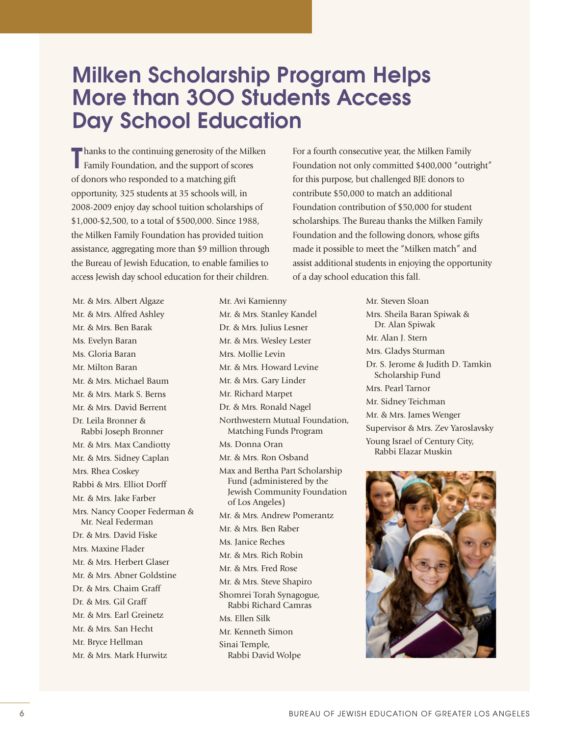# **Milken Scholarship Program Helps More than 3OO Students Access Day School Education**

**T** hanks to the continuing generosity of the Milken Family Foundation, and the support of scores Family Foundation, and the support of scores of donors who responded to a matching gift opportunity, 325 students at 35 schools will, in 2008-2009 enjoy day school tuition scholarships of \$1,000-\$2,500, to a total of \$500,000. Since 1988, the Milken Family Foundation has provided tuition assistance, aggregating more than \$9 million through the Bureau of Jewish Education, to enable families to access Jewish day school education for their children.

Mr. & Mrs. Albert Algaze Mr. & Mrs. Alfred Ashley Mr. & Mrs. Ben Barak Ms. Evelyn Baran Ms. Gloria Baran Mr. Milton Baran Mr. & Mrs. Michael Baum Mr. & Mrs. Mark S. Berns Mr. & Mrs. David Berrent Dr. Leila Bronner & Rabbi Joseph Bronner Mr. & Mrs. Max Candiotty Mr. & Mrs. Sidney Caplan Mrs. Rhea Coskey Rabbi & Mrs. Elliot Dorff Mr. & Mrs. Jake Farber Mrs. Nancy Cooper Federman & Mr. Neal Federman Dr. & Mrs. David Fiske Mrs. Maxine Flader Mr. & Mrs. Herbert Glaser Mr. & Mrs. Abner Goldstine Dr. & Mrs. Chaim Graff Dr. & Mrs. Gil Graff Mr. & Mrs. Earl Greinetz Mr. & Mrs. San Hecht Mr. Bryce Hellman Mr. & Mrs. Mark Hurwitz

Mr. Avi Kamienny Mr. & Mrs. Stanley Kandel Dr. & Mrs. Julius Lesner Mr. & Mrs. Wesley Lester Mrs. Mollie Levin Mr. & Mrs. Howard Levine Mr. & Mrs. Gary Linder Mr. Richard Marpet Dr. & Mrs. Ronald Nagel Northwestern Mutual Foundation, Matching Funds Program Ms. Donna Oran Mr. & Mrs. Ron Osband Max and Bertha Part Scholarship Fund (administered by the Jewish Community Foundation of Los Angeles) Mr. & Mrs. Andrew Pomerantz Mr. & Mrs. Ben Raber Ms. Janice Reches Mr. & Mrs. Rich Robin Mr. & Mrs. Fred Rose Mr. & Mrs. Steve Shapiro Shomrei Torah Synagogue, Rabbi Richard Camras Ms. Ellen Silk Mr. Kenneth Simon Sinai Temple, Rabbi David Wolpe

For a fourth consecutive year, the Milken Family Foundation not only committed \$400,000 "outright" for this purpose, but challenged BJE donors to contribute \$50,000 to match an additional Foundation contribution of \$50,000 for student scholarships. The Bureau thanks the Milken Family Foundation and the following donors, whose gifts made it possible to meet the "Milken match" and assist additional students in enjoying the opportunity of a day school education this fall.

> Mr. Steven Sloan Mrs. Sheila Baran Spiwak & Dr. Alan Spiwak Mr. Alan J. Stern Mrs. Gladys Sturman Dr. S. Jerome & Judith D. Tamkin Scholarship Fund Mrs. Pearl Tarnor Mr. Sidney Teichman Mr. & Mrs. James Wenger Supervisor & Mrs. Zev Yaroslavsky Young Israel of Century City, Rabbi Elazar Muskin

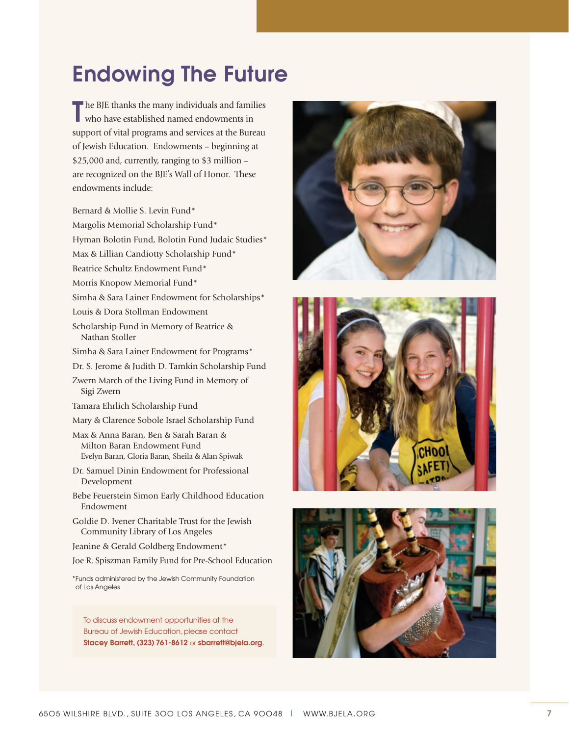# **Endowing The Future**

**T** he BJE thanks the many individuals and families who have established named endowments in who have established named endowments in support of vital programs and services at the Bureau of Jewish Education. Endowments – beginning at \$25,000 and, currently, ranging to \$3 million – are recognized on the BJE's Wall of Honor. These endowments include:

Bernard & Mollie S. Levin Fund\*

Margolis Memorial Scholarship Fund\*

Hyman Bolotin Fund, Bolotin Fund Judaic Studies\*

Max & Lillian Candiotty Scholarship Fund\*

Beatrice Schultz Endowment Fund\*

Morris Knopow Memorial Fund\*

Simha & Sara Lainer Endowment for Scholarships\*

Louis & Dora Stollman Endowment

Scholarship Fund in Memory of Beatrice & Nathan Stoller

Simha & Sara Lainer Endowment for Programs\*

Dr. S. Jerome & Judith D. Tamkin Scholarship Fund

Zwern March of the Living Fund in Memory of Sigi Zwern

Tamara Ehrlich Scholarship Fund

Mary & Clarence Sobole Israel Scholarship Fund

Max & Anna Baran, Ben & Sarah Baran & Milton Baran Endowment Fund Evelyn Baran, Gloria Baran, Sheila & Alan Spiwak

Dr. Samuel Dinin Endowment for Professional Development

Bebe Feuerstein Simon Early Childhood Education Endowment

Goldie D. Ivener Charitable Trust for the Jewish Community Library of Los Angeles

Jeanine & Gerald Goldberg Endowment\*

Joe R. Spiszman Family Fund for Pre-School Education

\*Funds administered by the Jewish Community Foundation of Los Angeles

To discuss endowment opportunities at the Bureau of Jewish Education, please contact **Stacey Barrett, (323) 761-8612** or **sbarrett@bjela.org**.